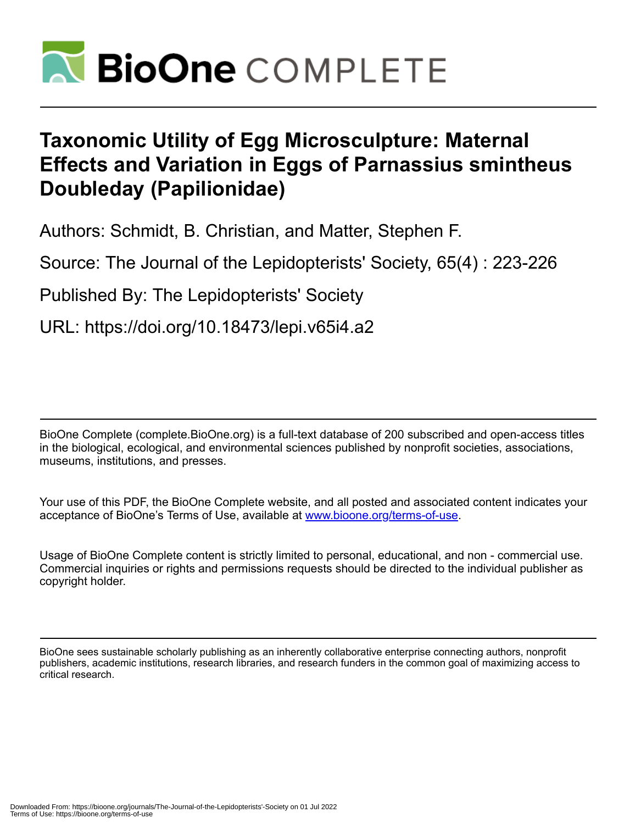

# **Taxonomic Utility of Egg Microsculpture: Maternal Effects and Variation in Eggs of Parnassius smintheus Doubleday (Papilionidae)**

Authors: Schmidt, B. Christian, and Matter, Stephen F.

Source: The Journal of the Lepidopterists' Society, 65(4) : 223-226

Published By: The Lepidopterists' Society

URL: https://doi.org/10.18473/lepi.v65i4.a2

BioOne Complete (complete.BioOne.org) is a full-text database of 200 subscribed and open-access titles in the biological, ecological, and environmental sciences published by nonprofit societies, associations, museums, institutions, and presses.

Your use of this PDF, the BioOne Complete website, and all posted and associated content indicates your acceptance of BioOne's Terms of Use, available at www.bioone.org/terms-of-use.

Usage of BioOne Complete content is strictly limited to personal, educational, and non - commercial use. Commercial inquiries or rights and permissions requests should be directed to the individual publisher as copyright holder.

BioOne sees sustainable scholarly publishing as an inherently collaborative enterprise connecting authors, nonprofit publishers, academic institutions, research libraries, and research funders in the common goal of maximizing access to critical research.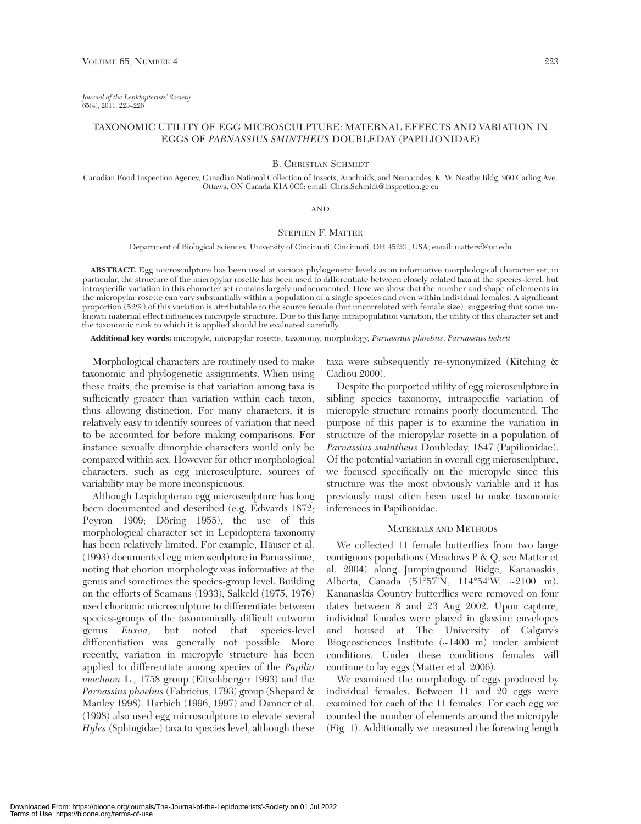*Journal of the Lepidopterists' Society* 65(4), 2011, 223–226

# TAXONOMIC UTILITY OF EGG MICROSCULPTURE: MATERNAL EFFECTS AND VARIATION IN EGGS OF *PARNASSIUS SMINTHEUS* DOUBLEDAY (PAPILIONIDAE)

### B. CHRISTIAN SCHMIDT

Canadian Food Inspection Agency, Canadian National Collection of Insects, Arachnids, and Nematodes, K. W. Neatby Bldg. 960 Carling Ave. Ottawa, ON Canada K1A 0C6; email: Chris.Schmidt@inspection.gc.ca

## AND

# STEPHEN F. MATTER

Department of Biological Sciences, University of Cincinnati, Cincinnati, OH 45221, USA; email: mattersf@uc.edu

**ABSTRACT.** Egg microsculpture has been used at various phylogenetic levels as an informative morphological character set; in particular, the structure of the micropylar rosette has been used to differentiate between closely related taxa at the species-level, but intraspecific variation in this character set remains largely undocumented. Here we show that the number and shape of elements in the micropylar rosette can vary substantially within a population of a single species and even within individual females. A significant proportion (52%) of this variation is attributable to the source female (but uncorrelated with female size), suggesting that some unknown maternal effect influences micropyle structure. Due to this large intrapopulation variation, the utility of this character set and the taxonomic rank to which it is applied should be evaluated carefully.

**Additional key words:** micropyle, micropylar rosette, taxonomy, morphology, *Parnassius phoebus*, *Parnassius behrii*

Morphological characters are routinely used to make taxonomic and phylogenetic assignments. When using these traits, the premise is that variation among taxa is sufficiently greater than variation within each taxon, thus allowing distinction. For many characters, it is relatively easy to identify sources of variation that need to be accounted for before making comparisons. For instance sexually dimorphic characters would only be compared within sex. However for other morphological characters, such as egg microsculpture, sources of variability may be more inconspicuous.

Although Lepidopteran egg microsculpture has long been documented and described (e.g. Edwards 1872; Peyron 1909; Döring 1955), the use of this morphological character set in Lepidoptera taxonomy has been relatively limited. For example, Häuser et al. (1993) documented egg microsculpture in Parnassiinae, noting that chorion morphology was informative at the genus and sometimes the species-group level. Building on the efforts of Seamans (1933), Salkeld (1975, 1976) used chorionic microsculpture to differentiate between species-groups of the taxonomically difficult cutworm genus *Euxoa*, but noted that species-level differentiation was generally not possible. More recently, variation in micropyle structure has been applied to differentiate among species of the *Papilio machaon* L., 1758 group (Eitschberger 1993) and the *Parnassius phoebus* (Fabricius, 1793) group (Shepard & Manley 1998). Harbich (1996, 1997) and Danner et al. (1998) also used egg microsculpture to elevate several *Hyles* (Sphingidae) taxa to species level, although these

taxa were subsequently re-synonymized (Kitching & Cadiou 2000).

Despite the purported utility of egg microsculpture in sibling species taxonomy, intraspecific variation of micropyle structure remains poorly documented. The purpose of this paper is to examine the variation in structure of the micropylar rosette in a population of *Parnassius smintheus* Doubleday, 1847 (Papilionidae). Of the potential variation in overall egg microsculpture, we focused specifically on the micropyle since this structure was the most obviously variable and it has previously most often been used to make taxonomic inferences in Papilionidae.

#### MATERIALS AND METHODS

We collected 11 female butterflies from two large contiguous populations (Meadows P & Q, see Matter et al. 2004) along Jumpingpound Ridge, Kananaskis, Alberta, Canada (51°57'N, 114°54'W, ~2100 m). Kananaskis Country butterflies were removed on four dates between 8 and 23 Aug 2002. Upon capture, individual females were placed in glassine envelopes and housed at The University of Calgary's Biogeosciences Institute (~1400 m) under ambient conditions. Under these conditions females will continue to lay eggs (Matter et al. 2006).

We examined the morphology of eggs produced by individual females. Between 11 and 20 eggs were examined for each of the 11 females. For each egg we counted the number of elements around the micropyle (Fig. 1). Additionally we measured the forewing length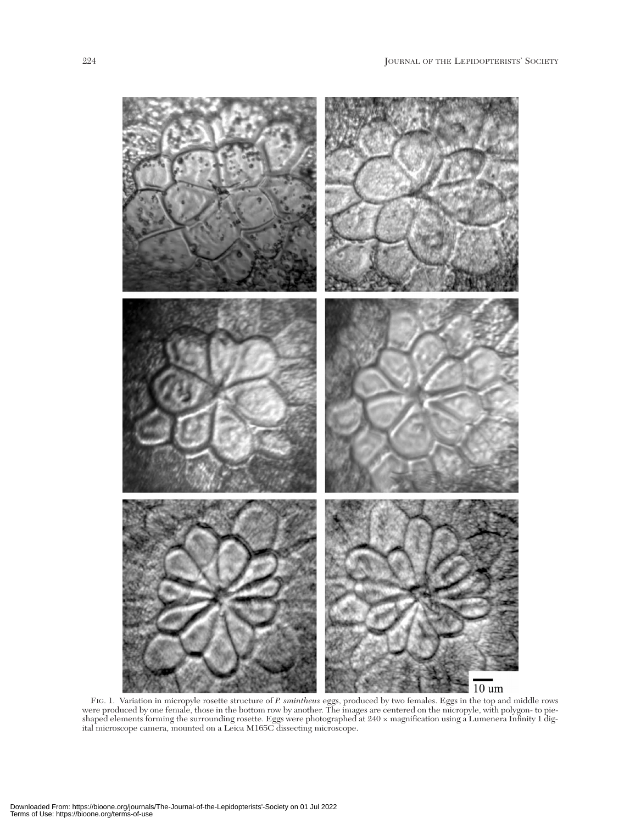

FIG. 1. Variation in micropyle rosette structure of *P. smintheus* eggs, produced by two females. Eggs in the top and middle rows were produced by one female, those in the bottom row by another. The images are centered on the micropyle, with polygon- to pieshaped elements forming the surrounding rosette. Eggs were photographed at 240 × magnification using a Lumenera Infinity 1 digital microscope camera, mounted on a Leica M165C dissecting microscope.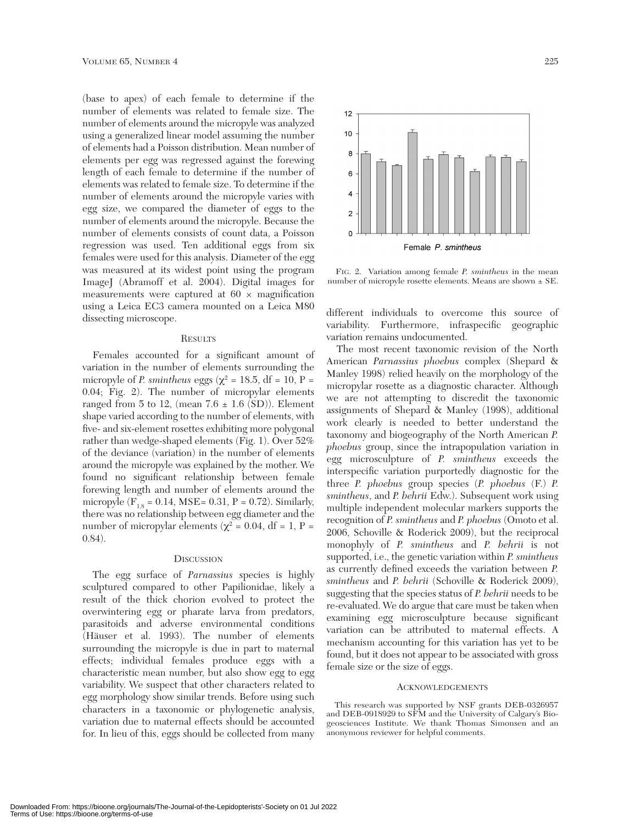(base to apex) of each female to determine if the number of elements was related to female size. The number of elements around the micropyle was analyzed using a generalized linear model assuming the number of elements had a Poisson distribution. Mean number of elements per egg was regressed against the forewing length of each female to determine if the number of elements was related to female size. To determine if the number of elements around the micropyle varies with egg size, we compared the diameter of eggs to the number of elements around the micropyle. Because the number of elements consists of count data, a Poisson regression was used. Ten additional eggs from six females were used for this analysis. Diameter of the egg was measured at its widest point using the program ImageJ (Abramoff et al. 2004). Digital images for measurements were captured at  $60 \times$  magnification using a Leica EC3 camera mounted on a Leica M80 dissecting microscope.

#### **RESULTS**

Females accounted for a significant amount of variation in the number of elements surrounding the micropyle of *P. smintheus* eggs ( $\chi^2$  = 18.5, df = 10, P = 0.04; Fig. 2). The number of micropylar elements ranged from 5 to 12, (mean  $7.6 \pm 1.6$  (SD)). Element shape varied according to the number of elements, with five- and six-element rosettes exhibiting more polygonal rather than wedge-shaped elements (Fig. 1). Over 52% of the deviance (variation) in the number of elements around the micropyle was explained by the mother. We found no significant relationship between female forewing length and number of elements around the micropyle ( $F_{1,8} = 0.14$ , MSE= 0.31, P = 0.72). Similarly, there was no relationship between egg diameter and the number of micropylar elements ( $χ² = 0.04$ , df = 1, P = 0.84).

#### **DISCUSSION**

The egg surface of *Parnassius* species is highly sculptured compared to other Papilionidae, likely a result of the thick chorion evolved to protect the overwintering egg or pharate larva from predators, parasitoids and adverse environmental conditions (Häuser et al. 1993). The number of elements surrounding the micropyle is due in part to maternal effects; individual females produce eggs with a characteristic mean number, but also show egg to egg variability. We suspect that other characters related to egg morphology show similar trends. Before using such characters in a taxonomic or phylogenetic analysis, variation due to maternal effects should be accounted for. In lieu of this, eggs should be collected from many



FIG. 2. Variation among female *P. smintheus* in the mean number of micropyle rosette elements. Means are shown ± SE.

different individuals to overcome this source of variability. Furthermore, infraspecific geographic variation remains undocumented.

The most recent taxonomic revision of the North American *Parnassius phoebus* complex (Shepard & Manley 1998) relied heavily on the morphology of the micropylar rosette as a diagnostic character. Although we are not attempting to discredit the taxonomic assignments of Shepard & Manley (1998), additional work clearly is needed to better understand the taxonomy and biogeography of the North American *P. phoebus* group, since the intrapopulation variation in egg microsculpture of *P. smintheus* exceeds the interspecific variation purportedly diagnostic for the three *P. phoebus* group species (*P. phoebus* (F.) *P. smintheus*, and *P. behrii* Edw.). Subsequent work using multiple independent molecular markers supports the recognition of *P. smintheus* and *P. phoebus* (Omoto et al. 2006, Schoville & Roderick 2009), but the reciprocal monophyly of *P. smintheus* and *P. behrii* is not supported, i.e., the genetic variation within *P. smintheus* as currently defined exceeds the variation between *P. smintheus* and *P. behrii* (Schoville & Roderick 2009), suggesting that the species status of *P. behrii* needs to be re-evaluated. We do argue that care must be taken when examining egg microsculpture because significant variation can be attributed to maternal effects. A mechanism accounting for this variation has yet to be found, but it does not appear to be associated with gross female size or the size of eggs.

#### ACKNOWLEDGEMENTS

This research was supported by NSF grants DEB-0326957 and DEB-0918929 to SFM and the University of Calgary's Biogeosciences Institute. We thank Thomas Simonsen and an anonymous reviewer for helpful comments.